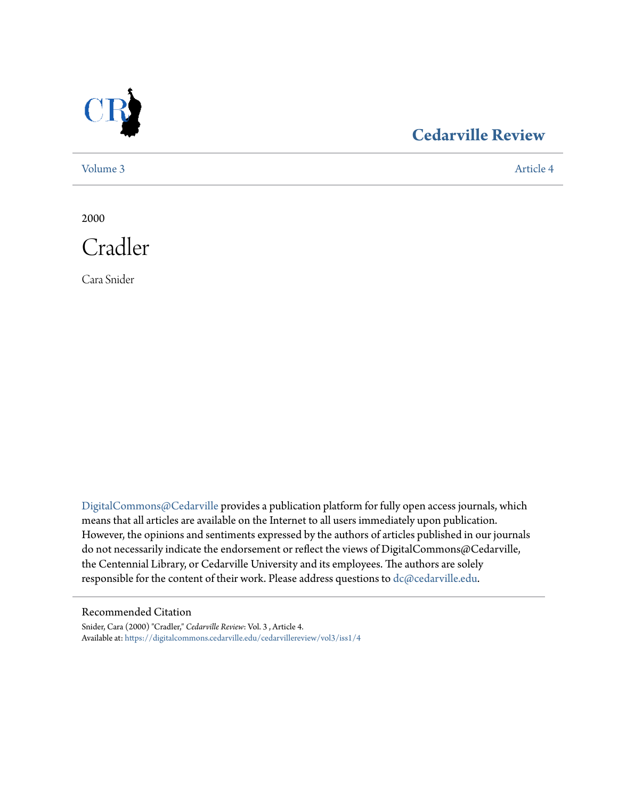

### **[Cedarville Review](https://digitalcommons.cedarville.edu/cedarvillereview?utm_source=digitalcommons.cedarville.edu%2Fcedarvillereview%2Fvol3%2Fiss1%2F4&utm_medium=PDF&utm_campaign=PDFCoverPages)**

[Volume 3](https://digitalcommons.cedarville.edu/cedarvillereview/vol3?utm_source=digitalcommons.cedarville.edu%2Fcedarvillereview%2Fvol3%2Fiss1%2F4&utm_medium=PDF&utm_campaign=PDFCoverPages) [Article 4](https://digitalcommons.cedarville.edu/cedarvillereview/vol3/iss1/4?utm_source=digitalcommons.cedarville.edu%2Fcedarvillereview%2Fvol3%2Fiss1%2F4&utm_medium=PDF&utm_campaign=PDFCoverPages)

2000



Cara Snider

[DigitalCommons@Cedarville](http://digitalcommons.cedarville.edu) provides a publication platform for fully open access journals, which means that all articles are available on the Internet to all users immediately upon publication. However, the opinions and sentiments expressed by the authors of articles published in our journals do not necessarily indicate the endorsement or reflect the views of DigitalCommons@Cedarville, the Centennial Library, or Cedarville University and its employees. The authors are solely responsible for the content of their work. Please address questions to [dc@cedarville.edu](mailto:dc@cedarville.edu).

#### Recommended Citation

Snider, Cara (2000) "Cradler," *Cedarville Review*: Vol. 3 , Article 4. Available at: [https://digitalcommons.cedarville.edu/cedarvillereview/vol3/iss1/4](https://digitalcommons.cedarville.edu/cedarvillereview/vol3/iss1/4?utm_source=digitalcommons.cedarville.edu%2Fcedarvillereview%2Fvol3%2Fiss1%2F4&utm_medium=PDF&utm_campaign=PDFCoverPages)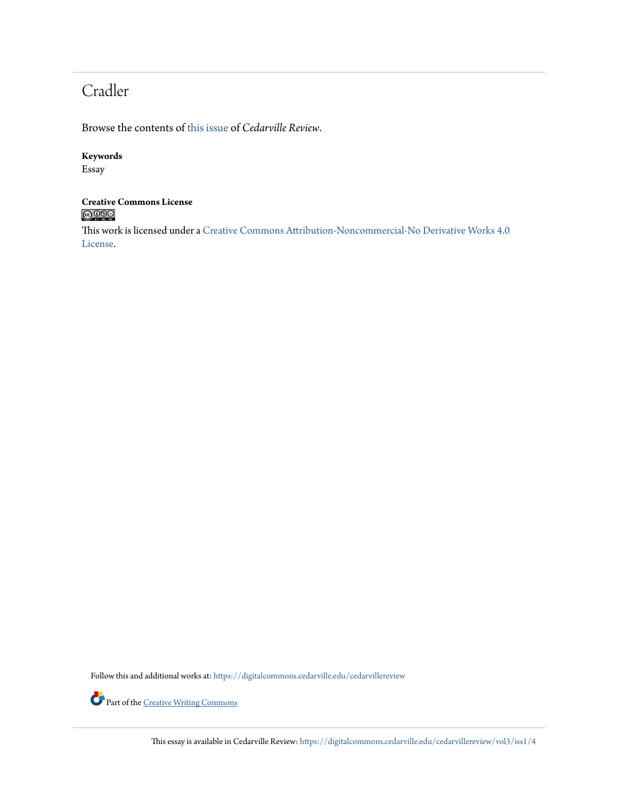## Cradler

Browse the contents of [this issue](https://digitalcommons.cedarville.edu/cedarvillereview/vol3/iss1) of *Cedarville Review*.

#### **Keywords**

Essay

# **Creative Commons License**

This work is licensed under a [Creative Commons Attribution-Noncommercial-No Derivative Works 4.0](http://creativecommons.org/licenses/by-nc-nd/4.0/) [License.](http://creativecommons.org/licenses/by-nc-nd/4.0/)

Follow this and additional works at: [https://digitalcommons.cedarville.edu/cedarvillereview](https://digitalcommons.cedarville.edu/cedarvillereview?utm_source=digitalcommons.cedarville.edu%2Fcedarvillereview%2Fvol3%2Fiss1%2F4&utm_medium=PDF&utm_campaign=PDFCoverPages)



Part of the <u>[Creative Writing Commons](http://network.bepress.com/hgg/discipline/574?utm_source=digitalcommons.cedarville.edu%2Fcedarvillereview%2Fvol3%2Fiss1%2F4&utm_medium=PDF&utm_campaign=PDFCoverPages)</u>

This essay is available in Cedarville Review: [https://digitalcommons.cedarville.edu/cedarvillereview/vol3/iss1/4](https://digitalcommons.cedarville.edu/cedarvillereview/vol3/iss1/4?utm_source=digitalcommons.cedarville.edu%2Fcedarvillereview%2Fvol3%2Fiss1%2F4&utm_medium=PDF&utm_campaign=PDFCoverPages)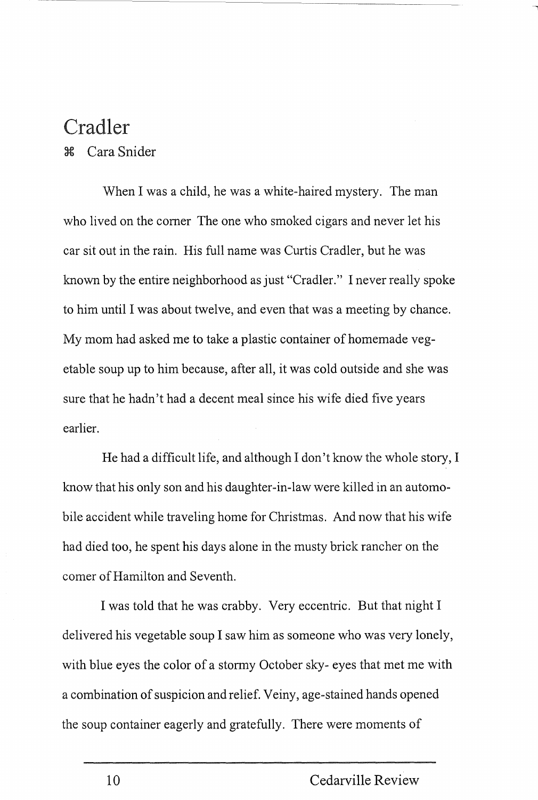## Cradler

<sup>~</sup>Cara Snider

When I was a child, he was a white-haired mystery. The man who lived on the comer The one who smoked cigars and never let his car sit out in the rain. His full name was Curtis Cradler, but he was known by the entire neighborhood as just "Cradler." I never really spoke to him until I was about twelve, and even that was a meeting by chance. My mom had asked me to take a plastic container of homemade vegetable soup up to him because, after all, it was cold outside and she was sure that he hadn't had a decent meal since his wife died five years earlier.

He had a difficult life, and although I don't know the whole story, I know that his only son and his daughter-in-law were killed in an automobile accident while traveling home for Christmas. And now that his wife had died too, he spent his days alone in the musty brick rancher on the comer of Hamilton and Seventh.

I was told that he was crabby. Very eccentric. But that night I delivered his vegetable soup I saw him as someone who was very lonely, with blue eyes the color of a stormy October sky- eyes that met me with a combination of suspicion and relief. Veiny, age-stained hands opened the soup container eagerly and gratefully. There were moments of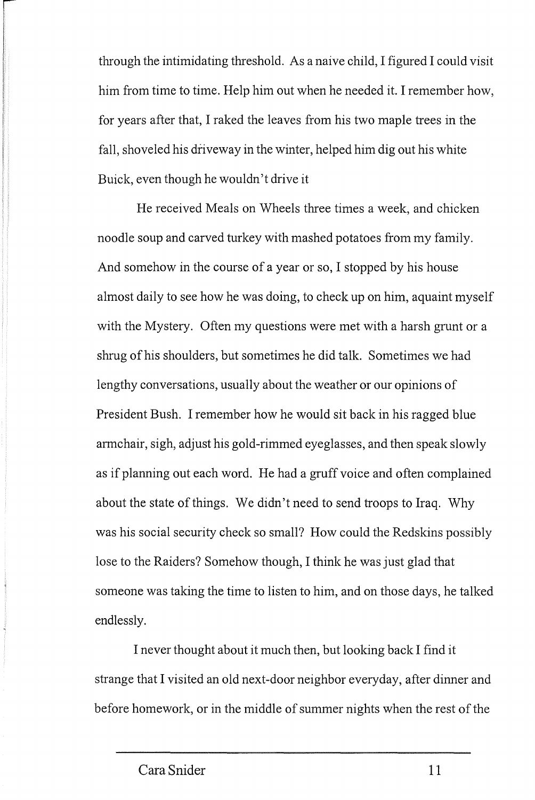through the intimidating threshold. As a naive child, I figured I could visit him from time to time. Help him out when he needed it. I remember how, for years after that, I raked the leaves from his two maple trees in the fall, shoveled his driveway in the winter, helped him dig out his white Buick, even though he wouldn't drive it

He received Meals on Wheels three times a week, and chicken noodle soup and carved turkey with mashed potatoes from my family. And somehow in the course of a year or so, I stopped by his house almost daily to see how he was doing, to check up on him, aquaint myself with the Mystery. Often my questions were met with a harsh grunt or a shrug of his shoulders, but sometimes he did talk. Sometimes we had lengthy conversations, usually about the weather or our opinions of President Bush. I remember how he would sit back in his ragged blue armchair, sigh, adjust his gold-rimmed eyeglasses, and then speak slowly as if planning out each word. He had a gruff voice and often complained about the state of things. We didn't need to send troops to Iraq. Why was his social security check so small? How could the Redskins possibly lose to the Raiders? Somehow though, I think he was just glad that someone was taking the time to listen to him, and on those days, he talked endlessly.

I never thought about it much then, but looking back I find it strange that I visited an old next-door neighbor everyday, after dinner and before homework, or in the middle of summer nights when the rest of the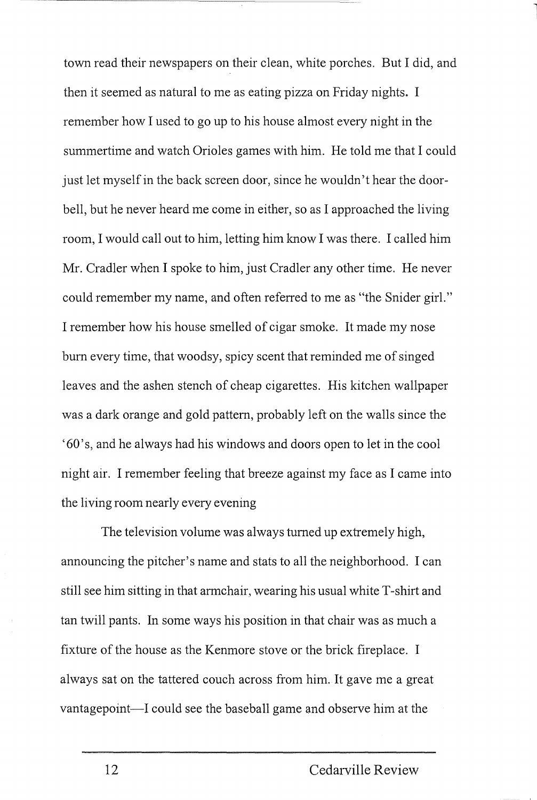town read their newspapers on their clean, white porches. But I did, and then it seemed as natural to me as eating pizza on Friday nights. I remember how I used to go up to his house almost every night in the summertime and watch Orioles games with him. He told me that I could just let myself in the back screen door, since he wouldn't hear the doorbell, but he never heard me come in either, so as I approached the living room, I would call out to him, letting him know I was there. I called him Mr. Cradler when I spoke to him, just Cradler any other time. He never could remember my name, and often referred to me as "the Snider girl." I remember how his house smelled of cigar smoke. It made my nose bum every time, that woodsy, spicy scent that reminded me of singed leaves and the ashen stench of cheap cigarettes. His kitchen wallpaper was a dark orange and gold pattern, probably left on the walls since the '60 's, and he always had his windows and doors open to let in the cool night air. I remember feeling that breeze against my face as I came into the living room nearly every evening

The television volume was always turned up extremely high, announcing the pitcher's name and stats to all the neighborhood. I can still see him sitting in that armchair, wearing his usual white T-shirt and tan twill pants. In some ways his position in that chair was as much a fixture of the house as the Kenmore stove or the brick fireplace. I always sat on the tattered couch across from him. It gave me a great vantagepoint-I could see the baseball game and observe him at the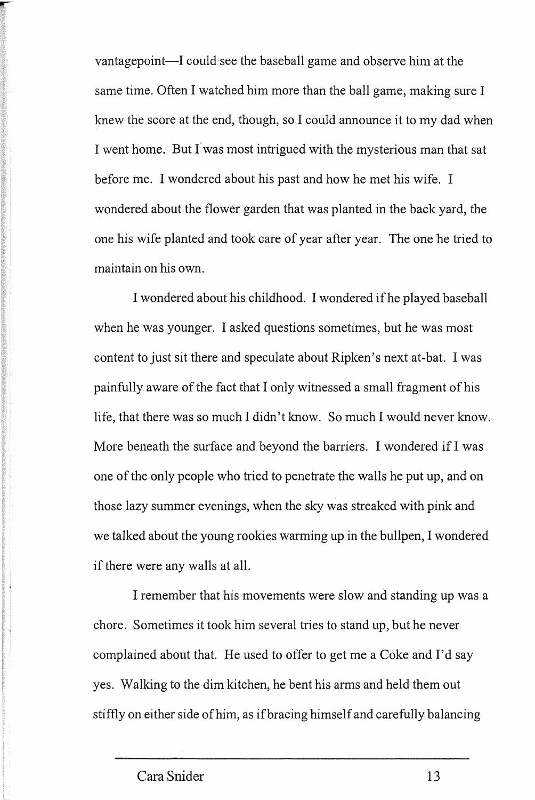vantagepoint—I could see the baseball game and observe him at the same time. Often I watched him more than the ball game, making sure I knew the score at the end, though, so I could announce it to my dad when I went home. But I was most intrigued with the mysterious man that sat before me. I wondered about his past and how he met his wife. I wondered about the flower garden that was planted in the back yard, the one his wife planted and took care of year after year. The one he tried to maintain on his own.

I wondered about his childhood. I wondered if he played baseball when he was younger. I asked questions sometimes, but he was most content to just sit there and speculate about Ripken's next at-bat. I was painfully aware of the fact that I only witnessed a small fragment of his life, that there was so much I didn't know. So much I would never know. More beneath the surface and beyond the barriers. I wondered if I was one of the only people who tried to penetrate the walls he put up, and on those lazy summer evenings, when the sky was streaked with pink and we talked about the young rookies warming up in the bullpen, I wondered if there were any walls at all.

I remember that his movements were slow and standing up was a chore. Sometimes it took him several tries to stand up, but he never complained about that. He used to offer to get me a Coke and I'd say yes. Walking to the dim kitchen, he bent his arms and held them out stiffly on either side of him, as if bracing himself and carefully balancing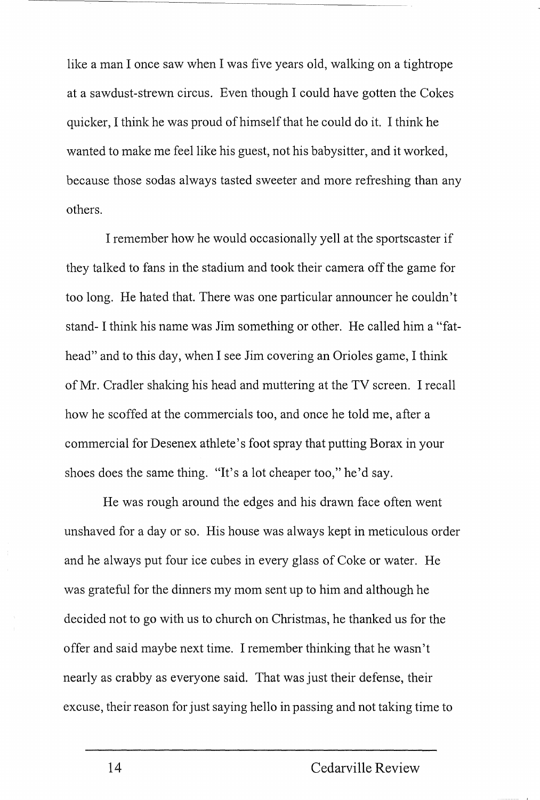like a man I once saw when I was five years old, walking on a tightrope at a sawdust-strewn circus. Even though I could have gotten the Cokes quicker, I think he was proud of himself that he could do it. I think he wanted to make me feel like his guest, not his babysitter, and it worked, because those sodas always tasted sweeter and more refreshing than any others.

I remember how he would occasionally yell at the sportscaster if they talked to fans in the stadium and took their camera off the game for too long. He hated that. There was one particular announcer he couldn't stand- I think his name was Jim something or other. He called him a "fathead" and to this day, when I see Jim covering an Orioles game, I think of Mr. Cradler shaking his head and muttering at the TV screen. I recall how he scoffed at the commercials too, and once he told me, after a commercial for Desenex athlete's foot spray that putting Borax in your shoes does the same thing. "It's a lot cheaper too," he'd say.

He was rough around the edges and his drawn face often went unshaved for a day or so. His house was always kept in meticulous order and he always put four ice cubes in every glass of Coke or water. He was grateful for the dinners my mom sent up to him and although he decided not to go with us to church on Christmas, he thanked us for the offer and said maybe next time. I remember thinking that he wasn't nearly as crabby as everyone said. That was just their defense, their excuse, their reason for just saying hello in passing and not taking time to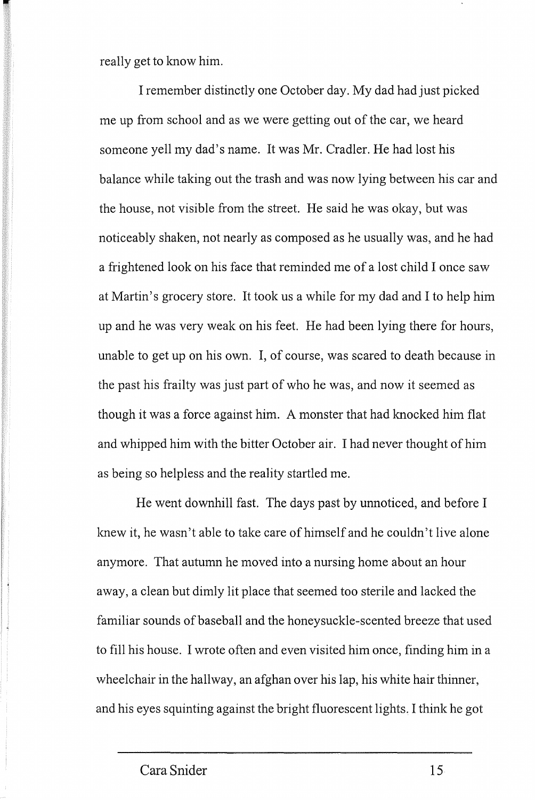really get to know him.

I remember distinctly one October day. My dad had just picked me up from school and as we were getting out of the car, we heard someone yell my dad's name. It was Mr. Cradler. He had lost his balance while taking out the trash and was now lying between his car and the house, not visible from the street. He said he was okay, but was noticeably shaken, not nearly as composed as he usually was, and he had a frightened look on his face that reminded me of a lost child I once saw at Martin's grocery store. It took us a while for my dad and I to help him up and he was very weak on his feet. He had been lying there for hours, unable to get up on his own. I, of course, was scared to death because in the past his frailty was just part of who he was, and now it seemed as though it was a force against him. A monster that had knocked him flat and whipped him with the bitter October air. I had never thought of him as being so helpless and the reality startled me.

He went downhill fast. The days past by unnoticed, and before I knew it, he wasn't able to take care of himself and he couldn't live alone anymore. That autumn he moved into a nursing home about an hour away, a clean but dimly lit place that seemed too sterile and lacked the familiar sounds of baseball and the honeysuckle-scented breeze that used to fill his house. I wrote often and even visited him once, finding him in a wheelchair in the hallway, an afghan over his lap, his white hair thinner, and his eyes squinting against the bright fluorescent lights. I think he got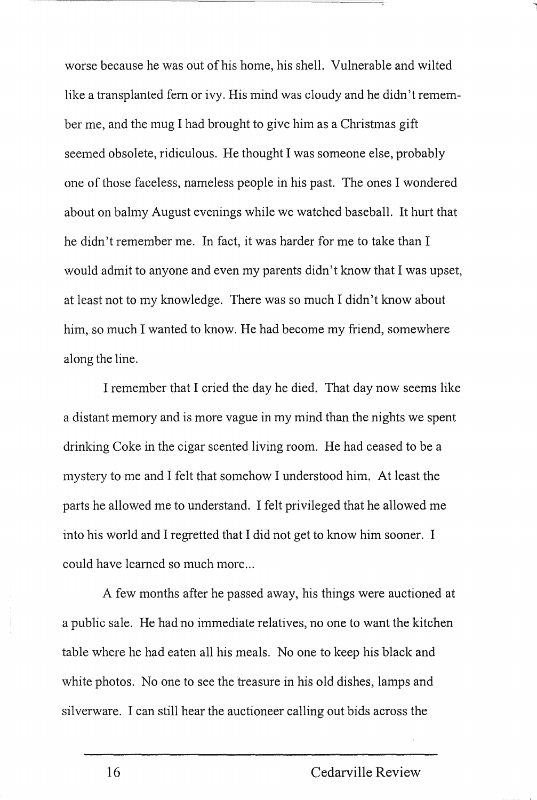worse because he was out of his home, his shell. Vulnerable and wilted like a transplanted fem or ivy. His mind was cloudy and he didn't remember me, and the mug I had brought to give him as a Christmas gift seemed obsolete, ridiculous. He thought I was someone else, probably one of those faceless, nameless people in his past. The ones I wondered about on balmy August evenings while we watched baseball. It hurt that he didn't remember me. In fact, it was harder for me to take than I would admit to anyone and even my parents didn't know that I was upset, at least not to my lmowledge. There was so much I didn't know about him, so much I wanted to know. He had become my friend, somewhere along the line.

I remember that I cried the day he died. That day now seems like a distant memory and is more vague in my mind than the nights we spent drinking Coke in the cigar scented living room. He had ceased to be a mystery to me and I felt that somehow I understood him. At least the parts he allowed me to understand. I felt privileged that he allowed me into his world and I regretted that I did not get to know him sooner. I could have learned so much more...

A few months after he passed away, his things were auctioned at a public sale. He had no immediate relatives, no one to want the kitchen table where he had eaten all his meals. No one to keep his black and white photos. No one to see the treasure in his old dishes, lamps and silverware. I can still hear the auctioneer calling out bids across the